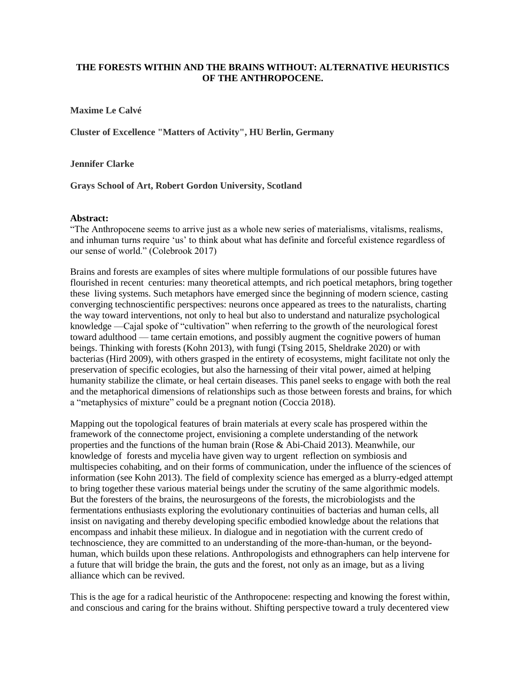## **THE FORESTS WITHIN AND THE BRAINS WITHOUT: ALTERNATIVE HEURISTICS OF THE ANTHROPOCENE.**

**Maxime Le Calvé** 

**Cluster of Excellence "Matters of Activity", HU Berlin, Germany**

**Jennifer Clarke**

**Grays School of Art, Robert Gordon University, Scotland**

## **Abstract:**

"The Anthropocene seems to arrive just as a whole new series of materialisms, vitalisms, realisms, and inhuman turns require "us" to think about what has definite and forceful existence regardless of our sense of world." (Colebrook 2017)

Brains and forests are examples of sites where multiple formulations of our possible futures have flourished in recent centuries: many theoretical attempts, and rich poetical metaphors, bring together these living systems. Such metaphors have emerged since the beginning of modern science, casting converging technoscientific perspectives: neurons once appeared as trees to the naturalists, charting the way toward interventions, not only to heal but also to understand and naturalize psychological knowledge —Cajal spoke of "cultivation" when referring to the growth of the neurological forest toward adulthood — tame certain emotions, and possibly augment the cognitive powers of human beings. Thinking with forests (Kohn 2013), with fungi (Tsing 2015, Sheldrake 2020) or with bacterias (Hird 2009), with others grasped in the entirety of ecosystems, might facilitate not only the preservation of specific ecologies, but also the harnessing of their vital power, aimed at helping humanity stabilize the climate, or heal certain diseases. This panel seeks to engage with both the real and the metaphorical dimensions of relationships such as those between forests and brains, for which a "metaphysics of mixture" could be a pregnant notion (Coccia 2018).

Mapping out the topological features of brain materials at every scale has prospered within the framework of the connectome project, envisioning a complete understanding of the network properties and the functions of the human brain (Rose & Abi-Chaid 2013). Meanwhile, our knowledge of forests and mycelia have given way to urgent reflection on symbiosis and multispecies cohabiting, and on their forms of communication, under the influence of the sciences of information (see Kohn 2013). The field of complexity science has emerged as a blurry-edged attempt to bring together these various material beings under the scrutiny of the same algorithmic models. But the foresters of the brains, the neurosurgeons of the forests, the microbiologists and the fermentations enthusiasts exploring the evolutionary continuities of bacterias and human cells, all insist on navigating and thereby developing specific embodied knowledge about the relations that encompass and inhabit these milieux. In dialogue and in negotiation with the current credo of technoscience, they are committed to an understanding of the more-than-human, or the beyondhuman, which builds upon these relations. Anthropologists and ethnographers can help intervene for a future that will bridge the brain, the guts and the forest, not only as an image, but as a living alliance which can be revived.

This is the age for a radical heuristic of the Anthropocene: respecting and knowing the forest within, and conscious and caring for the brains without. Shifting perspective toward a truly decentered view